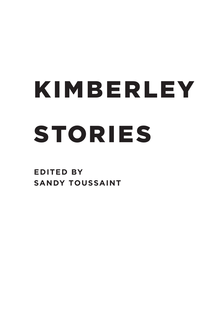## **STORIES** K IMBERLEY

**EDITED BY SANDY TOUSSAINT**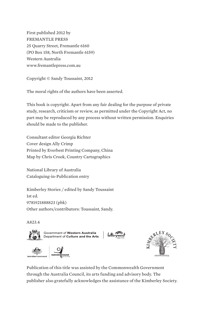First published 2012 by FREMANTLE PRESS 25 Quarry Street, Fremantle 6160 (PO Box 158, North Fremantle 6159) Western Australia www.fremantlepress.com.au

Copyright © Sandy Toussaint, 2012

The moral rights of the authors have been asserted.

This book is copyright. Apart from any fair dealing for the purpose of private study, research, criticism or review, as permitted under the Copyright Act, no part may be reproduced by any process without written permission. Enquiries should be made to the publisher.

Consultant editor Georgia Richter Cover design Ally Crimp Printed by Everbest Printing Company, China Map by Chris Crook, Country Cartographics

National Library of Australia Cataloguing-in-Publication entry

Kimberley Stories / edited by Sandy Toussaint 1st ed. 9781921888823 (pbk) Other authors/contributors: Toussaint, Sandy.

#### A823.4



Government of Western Australia<br>Department of Culture and the Arts







Publication of this title was assisted by the Commonwealth Government through the Australia Council, its arts funding and advisory body. The publisher also gratefully acknowledges the assistance of the Kimberley Society.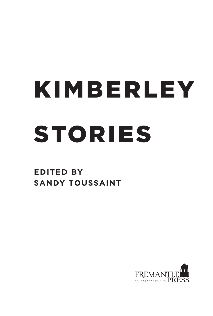# K IMBERLEY **STORIES**

**EDITED BY SANDY TOUSSAINT**

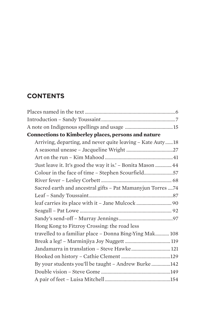## **Contents**

| <b>Connections to Kimberley places, persons and nature</b>   |  |
|--------------------------------------------------------------|--|
| Arriving, departing, and never quite leaving - Kate Auty18   |  |
|                                                              |  |
|                                                              |  |
| 'Just leave it. It's good the way it is.' - Bonita Mason  44 |  |
| Colour in the face of time - Stephen Scourfield57            |  |
|                                                              |  |
| Sacred earth and ancestral gifts - Pat Mamanyjun Torres 74   |  |
|                                                              |  |
|                                                              |  |
|                                                              |  |
|                                                              |  |
| Hong Kong to Fitzroy Crossing: the road less                 |  |
| travelled to a familiar place - Donna Bing-Ying Mak 108      |  |
|                                                              |  |
| Jandamarra in translation - Steve Hawke 121                  |  |
|                                                              |  |
| By your students you'll be taught - Andrew Burke 142         |  |
|                                                              |  |
|                                                              |  |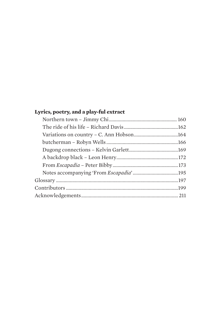### **Lyrics, poetry, and a play-ful extract**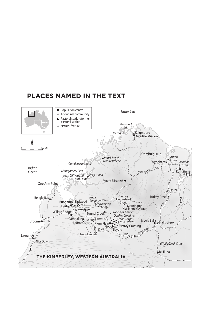### **PLACES NAMED IN THE TEXT**

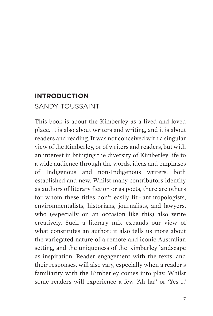## **Introduction** Sandy Toussaint

This book is about the Kimberley as a lived and loved place. It is also about writers and writing, and it is about readers and reading. It was not conceived with a singular view of the Kimberley, or of writers and readers, but with an interest in bringing the diversity of Kimberley life to a wide audience through the words, ideas and emphases of Indigenous and non-Indigenous writers, both established and new. Whilst many contributors identify as authors of literary fiction or as poets, there are others for whom these titles don't easily fit–anthropologists, environmentalists, historians, journalists, and lawyers, who (especially on an occasion like this) also write creatively. Such a literary mix expands our view of what constitutes an author; it also tells us more about the variegated nature of a remote and iconic Australian setting, and the uniqueness of the Kimberley landscape as inspiration. Reader engagement with the texts, and their responses, will also vary, especially when a reader's familiarity with the Kimberley comes into play. Whilst some readers will experience a few 'Ah ha!' or 'Yes …'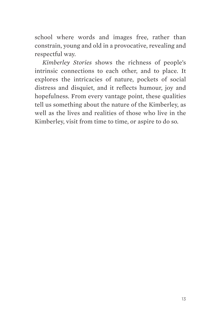school where words and images free, rather than constrain, young and old in a provocative, revealing and respectful way.

*Kimberley Stories* shows the richness of people's intrinsic connections to each other, and to place. It explores the intricacies of nature, pockets of social distress and disquiet, and it reflects humour, joy and hopefulness. From every vantage point, these qualities tell us something about the nature of the Kimberley, as well as the lives and realities of those who live in the Kimberley, visit from time to time, or aspire to do so.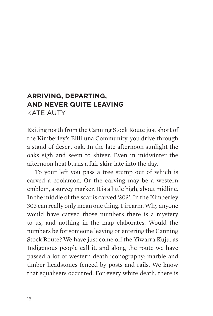## **Arriving, departing, and never quite leaving**  KATE AUTY

Exiting north from the Canning Stock Route just short of the Kimberley's Billiluna Community, you drive through a stand of desert oak. In the late afternoon sunlight the oaks sigh and seem to shiver. Even in midwinter the afternoon heat burns a fair skin: late into the day.

To your left you pass a tree stump out of which is carved a coolamon. Or the carving may be a western emblem, a survey marker. It is a little high, about midline. In the middle of the scar is carved '303'. In the Kimberley 303 can really only mean one thing. Firearm. Why anyone would have carved those numbers there is a mystery to us, and nothing in the map elaborates. Would the numbers be for someone leaving or entering the Canning Stock Route? We have just come off the Yiwarra Kuju, as Indigenous people call it, and along the route we have passed a lot of western death iconography: marble and timber headstones fenced by posts and rails. We know that equalisers occurred. For every white death, there is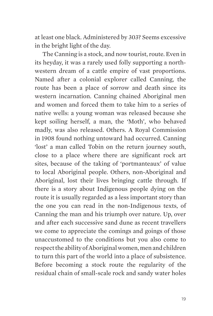at least one black. Administered by 303? Seems excessive in the bright light of the day.

The Canning is a stock, and now tourist, route. Even in its heyday, it was a rarely used folly supporting a northwestern dream of a cattle empire of vast proportions. Named after a colonial explorer called Canning, the route has been a place of sorrow and death since its western incarnation. Canning chained Aboriginal men and women and forced them to take him to a series of native wells: a young woman was released because she kept soiling herself, a man, the 'Moth', who behaved madly, was also released. Others. A Royal Commission in 1908 found nothing untoward had occurred. Canning 'lost' a man called Tobin on the return journey south, close to a place where there are significant rock art sites, because of the taking of 'portmanteaux' of value to local Aboriginal people. Others, non-Aboriginal and Aboriginal, lost their lives bringing cattle through. If there is a story about Indigenous people dying on the route it is usually regarded as a less important story than the one you can read in the non-Indigenous texts, of Canning the man and his triumph over nature. Up, over and after each successive sand dune as recent travellers we come to appreciate the comings and goings of those unaccustomed to the conditions but you also come to respect the ability of Aboriginal women, men and children to turn this part of the world into a place of subsistence. Before becoming a stock route the regularity of the residual chain of small-scale rock and sandy water holes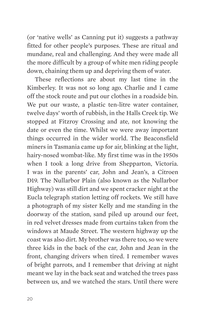(or 'native wells' as Canning put it) suggests a pathway fitted for other people's purposes. These are ritual and mundane, real and challenging. And they were made all the more difficult by a group of white men riding people down, chaining them up and depriving them of water.

These reflections are about my last time in the Kimberley. It was not so long ago. Charlie and I came off the stock route and put our clothes in a roadside bin. We put our waste, a plastic ten-litre water container, twelve days' worth of rubbish, in the Halls Creek tip. We stopped at Fitzroy Crossing and ate, not knowing the date or even the time. Whilst we were away important things occurred in the wider world. The Beaconsfield miners in Tasmania came up for air, blinking at the light, hairy-nosed wombat-like. My first time was in the 1950s when I took a long drive from Shepparton, Victoria. I was in the parents' car, John and Jean's, a Citroen D19. The Nullarbor Plain (also known as the Nullarbor Highway) was still dirt and we spent cracker night at the Eucla telegraph station letting off rockets. We still have a photograph of my sister Kelly and me standing in the doorway of the station, sand piled up around our feet, in red velvet dresses made from curtains taken from the windows at Maude Street. The western highway up the coast was also dirt. My brother was there too, so we were three kids in the back of the car, John and Jean in the front, changing drivers when tired. I remember waves of bright parrots, and I remember that driving at night meant we lay in the back seat and watched the trees pass between us, and we watched the stars. Until there were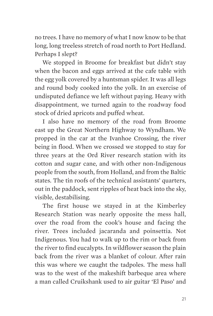no trees. I have no memory of what I now know to be that long, long treeless stretch of road north to Port Hedland. Perhaps I slept?

We stopped in Broome for breakfast but didn't stay when the bacon and eggs arrived at the cafe table with the egg yolk covered by a huntsman spider. It was all legs and round body cooked into the yolk. In an exercise of undisputed defiance we left without paying. Heavy with disappointment, we turned again to the roadway food stock of dried apricots and puffed wheat.

I also have no memory of the road from Broome east up the Great Northern Highway to Wyndham. We propped in the car at the Ivanhoe Crossing, the river being in flood. When we crossed we stopped to stay for three years at the Ord River research station with its cotton and sugar cane, and with other non-Indigenous people from the south, from Holland, and from the Baltic states. The tin roofs of the technical assistants' quarters, out in the paddock, sent ripples of heat back into the sky, visible, destabilising.

The first house we stayed in at the Kimberley Research Station was nearly opposite the mess hall, over the road from the cook's house and facing the river. Trees included jacaranda and poinsettia. Not Indigenous. You had to walk up to the rim or back from the river to find eucalypts. In wildflower season the plain back from the river was a blanket of colour. After rain this was where we caught the tadpoles. The mess hall was to the west of the makeshift barbeque area where a man called Cruikshank used to air guitar 'El Paso' and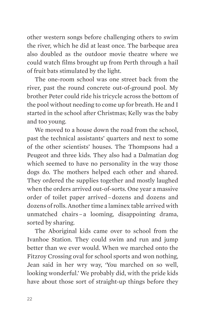other western songs before challenging others to swim the river, which he did at least once. The barbeque area also doubled as the outdoor movie theatre where we could watch films brought up from Perth through a hail of fruit bats stimulated by the light.

The one-room school was one street back from the river, past the round concrete out-of-ground pool. My brother Peter could ride his tricycle across the bottom of the pool without needing to come up for breath. He and I started in the school after Christmas; Kelly was the baby and too young.

We moved to a house down the road from the school, past the technical assistants' quarters and next to some of the other scientists' houses. The Thompsons had a Peugeot and three kids. They also had a Dalmatian dog which seemed to have no personality in the way those dogs do. The mothers helped each other and shared. They ordered the supplies together and mostly laughed when the orders arrived out-of-sorts. One year a massive order of toilet paper arrived–dozens and dozens and dozens of rolls. Another time a laminex table arrived with unmatched chairs–a looming, disappointing drama, sorted by sharing.

The Aboriginal kids came over to school from the Ivanhoe Station. They could swim and run and jump better than we ever would. When we marched onto the Fitzroy Crossing oval for school sports and won nothing, Jean said in her wry way, 'You marched on so well, looking wonderful.' We probably did, with the pride kids have about those sort of straight-up things before they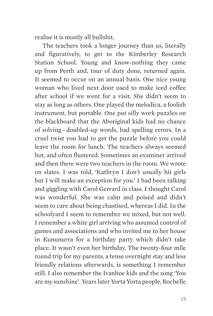realise it is mostly all bullshit.

The teachers took a longer journey than us, literally and figuratively, to get to the Kimberley Research Station School. Young and know-nothing they came up from Perth and, tour of duty done, returned again. It seemed to occur on an annual basis. One nice young woman who lived next door used to make iced coffee after school if we went for a visit. She didn't seem to stay as long as others. One played the melodica, a foolish instrument, but portable. One put silly work puzzles on the blackboard that the Aboriginal kids had no chance of solving–doubled-up words, bad spelling errors. In a cruel twist you had to get the puzzle before you could leave the room for lunch. The teachers always seemed hot, and often flustered. Sometimes an examiner arrived and then there were two teachers in the room. We wrote on slates. I was told, 'Kathryn I don't usually hit girls but I will make an exception for you.' I had been talking and giggling with Carol Gerrard in class. I thought Carol was wonderful. She was calm and poised and didn't seem to care about being chastised, whereas I did. In the schoolyard I seem to remember we mixed, but not well. I remember a white girl arriving who assumed control of games and associations and who invited me to her house in Kununurra for a birthday party which didn't take place. It wasn't even her birthday. The twenty-four mile round trip for my parents, a tense overnight stay and less friendly relations afterwards, is something I remember still. I also remember the Ivanhoe kids and the song 'You are my sunshine'. Years later Yorta Yorta people, Rochelle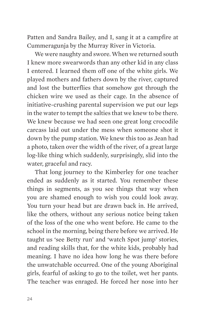Patten and Sandra Bailey, and I, sang it at a campfire at Cummeragunja by the Murray River in Victoria.

We were naughty and swore. When we returned south I knew more swearwords than any other kid in any class I entered. I learned them off one of the white girls. We played mothers and fathers down by the river, captured and lost the butterflies that somehow got through the chicken wire we used as their cage. In the absence of initiative-crushing parental supervision we put our legs in the water to tempt the salties that we knew to be there. We knew because we had seen one great long crocodile carcass laid out under the mess when someone shot it down by the pump station. We knew this too as Jean had a photo, taken over the width of the river, of a great large log-like thing which suddenly, surprisingly, slid into the water, graceful and racy.

That long journey to the Kimberley for one teacher ended as suddenly as it started. You remember these things in segments, as you see things that way when you are shamed enough to wish you could look away. You turn your head but are drawn back in. He arrived, like the others, without any serious notice being taken of the loss of the one who went before. He came to the school in the morning, being there before we arrived. He taught us 'see Betty run' and 'watch Spot jump' stories, and reading skills that, for the white kids, probably had meaning. I have no idea how long he was there before the unwatchable occurred. One of the young Aboriginal girls, fearful of asking to go to the toilet, wet her pants. The teacher was enraged. He forced her nose into her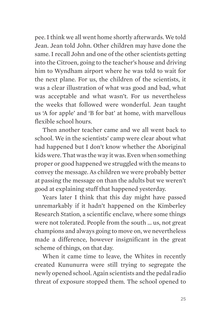pee. I think we all went home shortly afterwards. We told Jean. Jean told John. Other children may have done the same. I recall John and one of the other scientists getting into the Citroen, going to the teacher's house and driving him to Wyndham airport where he was told to wait for the next plane. For us, the children of the scientists, it was a clear illustration of what was good and bad, what was acceptable and what wasn't. For us nevertheless the weeks that followed were wonderful. Jean taught us 'A for apple' and 'B for bat' at home, with marvellous flexible school hours.

Then another teacher came and we all went back to school. We in the scientists' camp were clear about what had happened but I don't know whether the Aboriginal kids were. That was the way it was. Even when something proper or good happened we struggled with the means to convey the message. As children we were probably better at passing the message on than the adults but we weren't good at explaining stuff that happened yesterday.

Years later I think that this day might have passed unremarkably if it hadn't happened on the Kimberley Research Station, a scientific enclave, where some things were not tolerated. People from the south … us, not great champions and always going to move on, we nevertheless made a difference, however insignificant in the great scheme of things, on that day.

When it came time to leave, the Whites in recently created Kununurra were still trying to segregate the newly opened school. Again scientists and the pedal radio threat of exposure stopped them. The school opened to